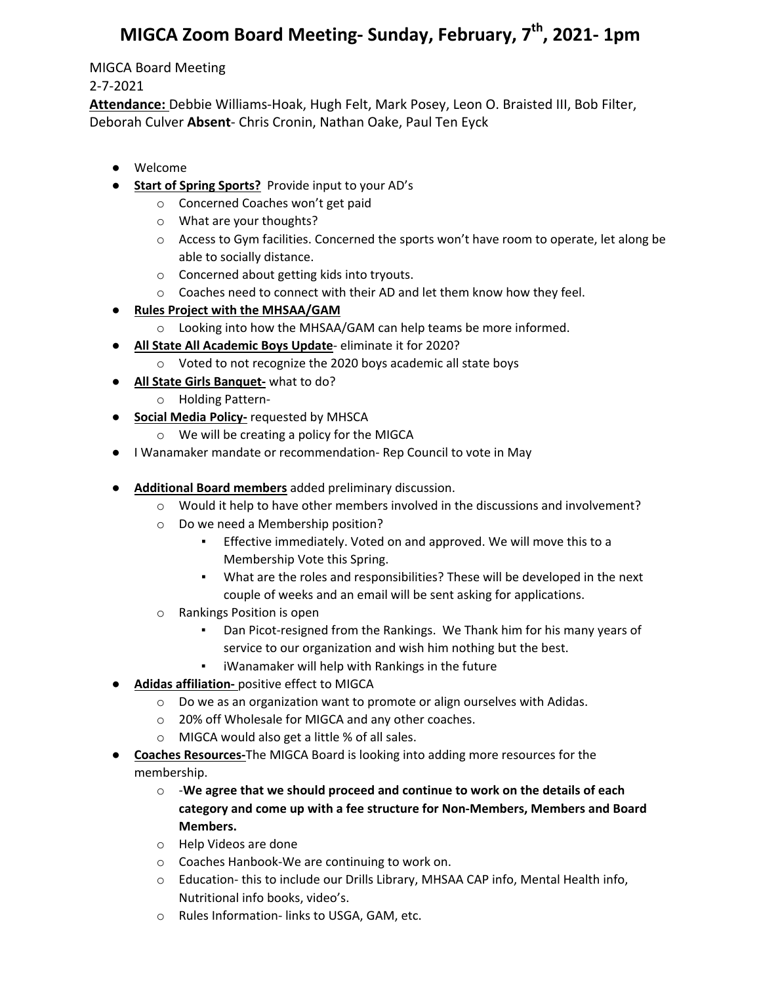## **MIGCA Zoom Board Meeting- Sunday, February, 7th, 2021- 1pm**

## MIGCA Board Meeting

## 2-7-2021

**Attendance:** Debbie Williams-Hoak, Hugh Felt, Mark Posey, Leon O. Braisted III, Bob Filter, Deborah Culver **Absent**- Chris Cronin, Nathan Oake, Paul Ten Eyck

- Welcome
- **Start of Spring Sports?** Provide input to your AD's
	- o Concerned Coaches won't get paid
	- o What are your thoughts?
	- o Access to Gym facilities. Concerned the sports won't have room to operate, let along be able to socially distance.
	- o Concerned about getting kids into tryouts.
	- o Coaches need to connect with their AD and let them know how they feel.
- **Rules Project with the MHSAA/GAM**
	- o Looking into how the MHSAA/GAM can help teams be more informed.
- **All State All Academic Boys Update** eliminate it for 2020?
	- o Voted to not recognize the 2020 boys academic all state boys
- **All State Girls Banquet-** what to do?
	- o Holding Pattern-
- **Social Media Policy-** requested by MHSCA
	- o We will be creating a policy for the MIGCA
- I Wanamaker mandate or recommendation- Rep Council to vote in May
- **Additional Board members** added preliminary discussion.
	- o Would it help to have other members involved in the discussions and involvement?
	- o Do we need a Membership position?
		- **Effective immediately. Voted on and approved. We will move this to a** Membership Vote this Spring.
		- What are the roles and responsibilities? These will be developed in the next couple of weeks and an email will be sent asking for applications.
	- o Rankings Position is open
		- Dan Picot-resigned from the Rankings. We Thank him for his many years of service to our organization and wish him nothing but the best.
		- iWanamaker will help with Rankings in the future
- **Adidas affiliation-** positive effect to MIGCA
	- o Do we as an organization want to promote or align ourselves with Adidas.
	- o 20% off Wholesale for MIGCA and any other coaches.
	- o MIGCA would also get a little % of all sales.
- **Coaches Resources-**The MIGCA Board is looking into adding more resources for the membership.
	- o -**We agree that we should proceed and continue to work on the details of each category and come up with a fee structure for Non-Members, Members and Board Members.**
	- o Help Videos are done
	- o Coaches Hanbook-We are continuing to work on.
	- o Education- this to include our Drills Library, MHSAA CAP info, Mental Health info, Nutritional info books, video's.
	- o Rules Information- links to USGA, GAM, etc.